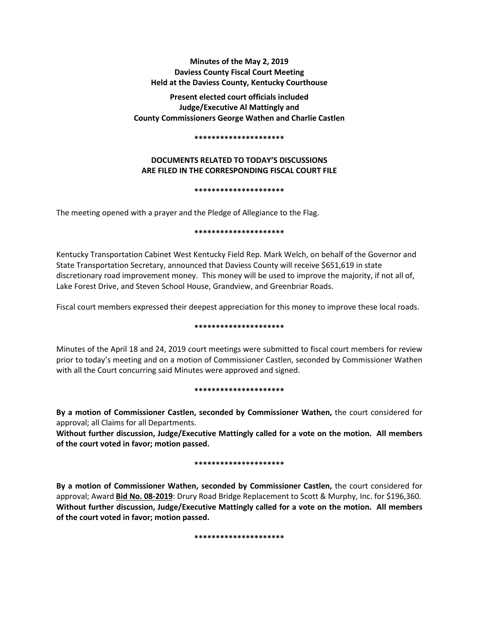**Minutes of the May 2, 2019 Daviess County Fiscal Court Meeting Held at the Daviess County, Kentucky Courthouse**

**Present elected court officials included Judge/Executive Al Mattingly and County Commissioners George Wathen and Charlie Castlen** 

#### **\*\*\*\*\*\*\*\*\*\*\*\*\*\*\*\*\*\*\*\*\***

# **DOCUMENTS RELATED TO TODAY'S DISCUSSIONS ARE FILED IN THE CORRESPONDING FISCAL COURT FILE**

### **\*\*\*\*\*\*\*\*\*\*\*\*\*\*\*\*\*\*\*\*\***

The meeting opened with a prayer and the Pledge of Allegiance to the Flag.

### **\*\*\*\*\*\*\*\*\*\*\*\*\*\*\*\*\*\*\*\*\***

Kentucky Transportation Cabinet West Kentucky Field Rep. Mark Welch, on behalf of the Governor and State Transportation Secretary, announced that Daviess County will receive \$651,619 in state discretionary road improvement money. This money will be used to improve the majority, if not all of, Lake Forest Drive, and Steven School House, Grandview, and Greenbriar Roads.

Fiscal court members expressed their deepest appreciation for this money to improve these local roads.

## **\*\*\*\*\*\*\*\*\*\*\*\*\*\*\*\*\*\*\*\*\***

Minutes of the April 18 and 24, 2019 court meetings were submitted to fiscal court members for review prior to today's meeting and on a motion of Commissioner Castlen, seconded by Commissioner Wathen with all the Court concurring said Minutes were approved and signed.

### **\*\*\*\*\*\*\*\*\*\*\*\*\*\*\*\*\*\*\*\*\***

**By a motion of Commissioner Castlen, seconded by Commissioner Wathen,** the court considered for approval; all Claims for all Departments.

**Without further discussion, Judge/Executive Mattingly called for a vote on the motion. All members of the court voted in favor; motion passed.** 

## **\*\*\*\*\*\*\*\*\*\*\*\*\*\*\*\*\*\*\*\*\***

**By a motion of Commissioner Wathen, seconded by Commissioner Castlen,** the court considered for approval; Award **Bid No. 08-2019**: Drury Road Bridge Replacement to Scott & Murphy, Inc. for \$196,360. **Without further discussion, Judge/Executive Mattingly called for a vote on the motion. All members of the court voted in favor; motion passed.** 

**\*\*\*\*\*\*\*\*\*\*\*\*\*\*\*\*\*\*\*\*\***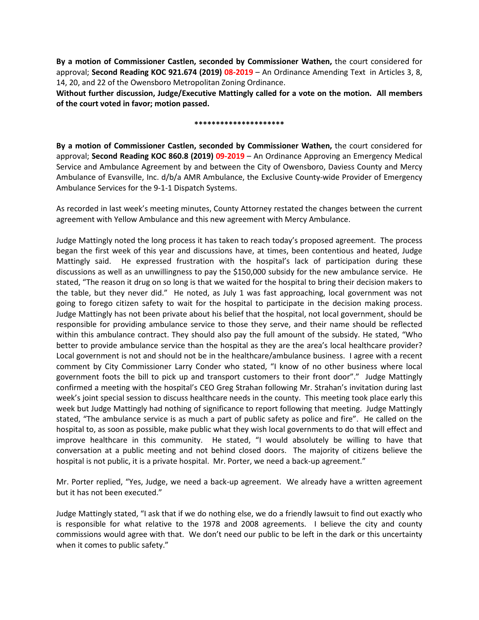**By a motion of Commissioner Castlen, seconded by Commissioner Wathen,** the court considered for approval; **Second Reading KOC 921.674 (2019) 08-2019** – An Ordinance Amending Text in Articles 3, 8, 14, 20, and 22 of the Owensboro Metropolitan Zoning Ordinance.

**Without further discussion, Judge/Executive Mattingly called for a vote on the motion. All members of the court voted in favor; motion passed.** 

### **\*\*\*\*\*\*\*\*\*\*\*\*\*\*\*\*\*\*\*\*\***

**By a motion of Commissioner Castlen, seconded by Commissioner Wathen,** the court considered for approval; **Second Reading KOC 860.8 (2019) 09-2019** – An Ordinance Approving an Emergency Medical Service and Ambulance Agreement by and between the City of Owensboro, Daviess County and Mercy Ambulance of Evansville, Inc. d/b/a AMR Ambulance, the Exclusive County-wide Provider of Emergency Ambulance Services for the 9-1-1 Dispatch Systems.

As recorded in last week's meeting minutes, County Attorney restated the changes between the current agreement with Yellow Ambulance and this new agreement with Mercy Ambulance.

Judge Mattingly noted the long process it has taken to reach today's proposed agreement. The process began the first week of this year and discussions have, at times, been contentious and heated, Judge Mattingly said. He expressed frustration with the hospital's lack of participation during these discussions as well as an unwillingness to pay the \$150,000 subsidy for the new ambulance service. He stated, "The reason it drug on so long is that we waited for the hospital to bring their decision makers to the table, but they never did." He noted, as July 1 was fast approaching, local government was not going to forego citizen safety to wait for the hospital to participate in the decision making process. Judge Mattingly has not been private about his belief that the hospital, not local government, should be responsible for providing ambulance service to those they serve, and their name should be reflected within this ambulance contract. They should also pay the full amount of the subsidy. He stated, "Who better to provide ambulance service than the hospital as they are the area's local healthcare provider? Local government is not and should not be in the healthcare/ambulance business. I agree with a recent comment by City Commissioner Larry Conder who stated, "I know of no other business where local government foots the bill to pick up and transport customers to their front door"." Judge Mattingly confirmed a meeting with the hospital's CEO Greg Strahan following Mr. Strahan's invitation during last week's joint special session to discuss healthcare needs in the county. This meeting took place early this week but Judge Mattingly had nothing of significance to report following that meeting. Judge Mattingly stated, "The ambulance service is as much a part of public safety as police and fire". He called on the hospital to, as soon as possible, make public what they wish local governments to do that will effect and improve healthcare in this community. He stated, "I would absolutely be willing to have that conversation at a public meeting and not behind closed doors. The majority of citizens believe the hospital is not public, it is a private hospital. Mr. Porter, we need a back-up agreement."

Mr. Porter replied, "Yes, Judge, we need a back-up agreement. We already have a written agreement but it has not been executed."

Judge Mattingly stated, "I ask that if we do nothing else, we do a friendly lawsuit to find out exactly who is responsible for what relative to the 1978 and 2008 agreements. I believe the city and county commissions would agree with that. We don't need our public to be left in the dark or this uncertainty when it comes to public safety."